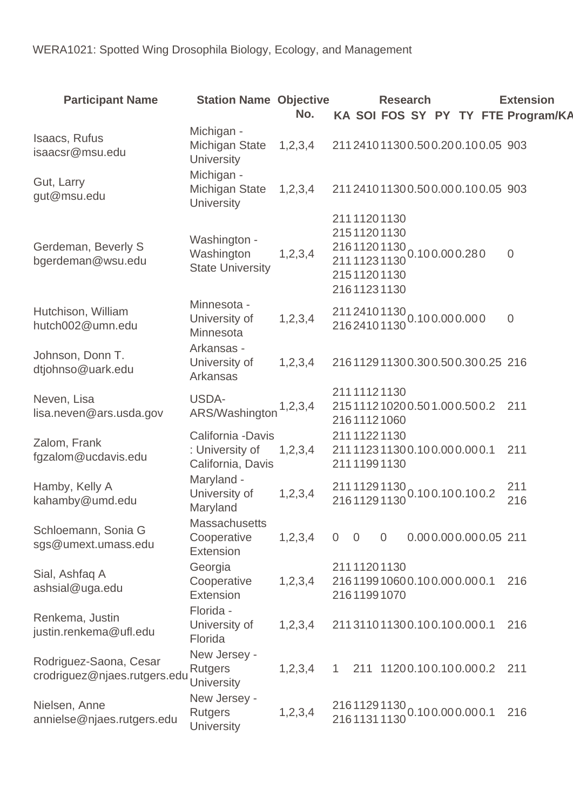| <b>Participant Name</b>                                | <b>Station Name Objective</b>                              | No.     |                |                | <b>Research</b>                                                         |                                                   |  | <b>Extension</b><br>KA SOI FOS SY PY TY FTE Program/KA |
|--------------------------------------------------------|------------------------------------------------------------|---------|----------------|----------------|-------------------------------------------------------------------------|---------------------------------------------------|--|--------------------------------------------------------|
| Isaacs, Rufus<br>isaacsr@msu.edu                       | Michigan -<br>Michigan State<br><b>University</b>          | 1,2,3,4 |                |                |                                                                         | 211241011300.500.200.100.05 903                   |  |                                                        |
| Gut, Larry<br>gut@msu.edu                              | Michigan -<br><b>Michigan State</b><br><b>University</b>   | 1,2,3,4 |                |                |                                                                         | 211241011300.500.000.100.05 903                   |  |                                                        |
| Gerdeman, Beverly S<br>bgerdeman@wsu.edu               | Washington -<br>Washington<br><b>State University</b>      | 1,2,3,4 |                |                | 21111201130<br>21511201130<br>21111231130<br>21511201130<br>21611231130 | $21611201130$ <sub>0.100.000.280</sub>            |  | $\overline{0}$                                         |
| Hutchison, William<br>hutch002@umn.edu                 | Minnesota -<br>University of<br>Minnesota                  | 1,2,3,4 |                |                |                                                                         | 211 2410 1130 0.10 0.00 0.00 0                    |  | $\overline{0}$                                         |
| Johnson, Donn T.<br>dtjohnso@uark.edu                  | Arkansas -<br>University of<br>Arkansas                    | 1,2,3,4 |                |                |                                                                         | 216112911300.300.500.300.25 216                   |  |                                                        |
| Neven, Lisa<br>lisa.neven@ars.usda.gov                 | USDA-<br>ARS/Washington                                    | 1,2,3,4 |                |                | 21111121130<br>21611121060                                              | 215111210200.501.000.500.2                        |  | 211                                                    |
| Zalom, Frank<br>fgzalom@ucdavis.edu                    | California - Davis<br>: University of<br>California, Davis | 1,2,3,4 |                |                | 21111221130<br>21111991130                                              | 211112311300.100.000.000.1                        |  | 211                                                    |
| Hamby, Kelly A<br>kahamby@umd.edu                      | Maryland -<br>University of<br>Maryland                    | 1,2,3,4 |                |                |                                                                         | 211 1129 1130 0.10 0.10 0.10 0.2<br>216 1129 1130 |  | 211<br>216                                             |
| Schloemann, Sonia G<br>sgs@umext.umass.edu             | <b>Massachusetts</b><br>Cooperative<br>Extension           | 1,2,3,4 | $\overline{0}$ | $\overline{0}$ | $\overline{0}$                                                          | 0.000.000.000.05 211                              |  |                                                        |
| Sial, Ashfaq A<br>ashsial@uga.edu                      | Georgia<br>Cooperative<br>Extension                        | 1,2,3,4 |                |                | 21111201130<br>21611991070                                              | 216119910600.100.000.000.1                        |  | 216                                                    |
| Renkema, Justin<br>justin.renkema@ufl.edu              | Florida -<br>University of<br>Florida                      | 1,2,3,4 |                |                |                                                                         | 211311011300.100.100.000.1                        |  | 216                                                    |
| Rodriguez-Saona, Cesar<br>crodriguez@njaes.rutgers.edu | New Jersey -<br><b>Rutgers</b><br><b>University</b>        | 1,2,3,4 |                |                |                                                                         | 211 11200.100.100.000.2                           |  | 211                                                    |
| Nielsen, Anne<br>annielse@njaes.rutgers.edu            | New Jersey -<br><b>Rutgers</b><br><b>University</b>        | 1,2,3,4 |                |                |                                                                         | 21611291130<br>0.100.000.000.1                    |  | 216                                                    |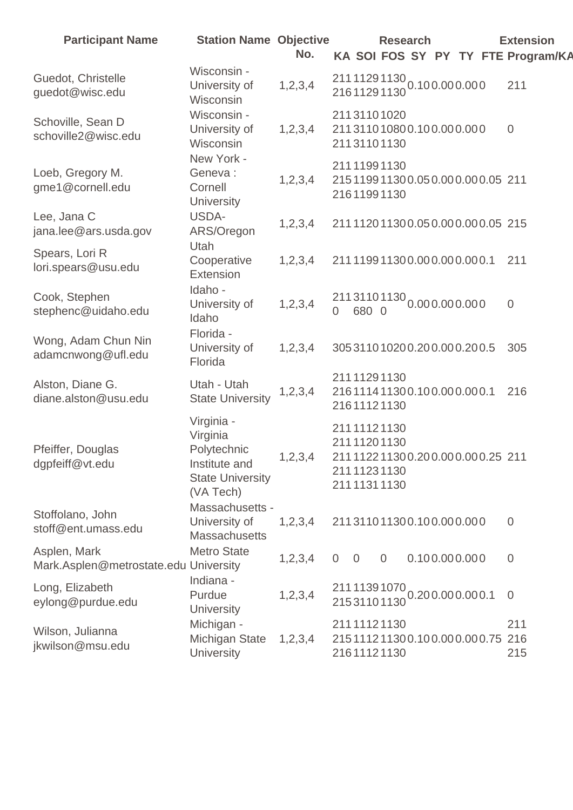| <b>Participant Name</b>                               | <b>Station Name Objective</b>                                                                  | No.        |                                                                                             | <b>Research</b> |               |  | <b>Extension</b><br>KA SOI FOS SY PY TY FTE Program/KA |
|-------------------------------------------------------|------------------------------------------------------------------------------------------------|------------|---------------------------------------------------------------------------------------------|-----------------|---------------|--|--------------------------------------------------------|
| Guedot, Christelle<br>guedot@wisc.edu                 | Wisconsin -<br>University of<br>Wisconsin                                                      | 1, 2, 3, 4 | 211 1129 1130 0.10 0.00 0.00 0<br>216 1129 1130 0.10 0.00 0.00 0                            |                 |               |  | 211                                                    |
| Schoville, Sean D<br>schoville2@wisc.edu              | Wisconsin -<br>University of<br>Wisconsin                                                      | 1,2,3,4    | 21131101020<br>211311010800.100.000.000<br>21131101130                                      |                 |               |  | $\overline{0}$                                         |
| Loeb, Gregory M.<br>gme1@cornell.edu                  | New York -<br>Geneva:<br>Cornell<br>University                                                 | 1,2,3,4    | 21111991130<br>215119911300.050.000.000.05 211<br>21611991130                               |                 |               |  |                                                        |
| Lee, Jana C<br>jana.lee@ars.usda.gov                  | USDA-<br>ARS/Oregon                                                                            | 1,2,3,4    | 211112011300.050.000.000.05 215                                                             |                 |               |  |                                                        |
| Spears, Lori R<br>lori.spears@usu.edu                 | Utah<br>Cooperative<br>Extension                                                               | 1,2,3,4    | 211119911300.000.000.000.1                                                                  |                 |               |  | 211                                                    |
| Cook, Stephen<br>stephenc@uidaho.edu                  | Idaho -<br>University of<br>Idaho                                                              | 1, 2, 3, 4 | 21131101130 0.000.000.000<br>$\overline{0}$<br>680 0                                        |                 |               |  | $\overline{0}$                                         |
| Wong, Adam Chun Nin<br>adamcnwong@ufl.edu             | Florida -<br>University of<br>Florida                                                          | 1,2,3,4    | 305311010200.200.000.200.5                                                                  |                 |               |  | 305                                                    |
| Alston, Diane G.<br>diane.alston@usu.edu              | Utah - Utah<br><b>State University</b>                                                         | 1, 2, 3, 4 | 21111291130<br>216111411300.100.000.000.1<br>21611121130                                    |                 |               |  | 216                                                    |
| Pfeiffer, Douglas<br>dgpfeiff@vt.edu                  | Virginia -<br>Virginia<br>Polytechnic<br>Institute and<br><b>State University</b><br>(VA Tech) | 1,2,3,4    | 21111121130<br>21111201130<br>211112211300.200.000.000.25 211<br>21111231130<br>21111311130 |                 |               |  |                                                        |
| Stoffolano, John<br>stoff@ent.umass.edu               | Massachusetts -<br>University of<br><b>Massachusetts</b>                                       | 1,2,3,4    | 211311011300.100.000.000                                                                    |                 |               |  | $\overline{0}$                                         |
| Asplen, Mark<br>Mark.Asplen@metrostate.edu University | <b>Metro State</b>                                                                             | 1,2,3,4    | $\overline{0}$<br>$\overline{0}$                                                            | $\overline{0}$  | 0.100.000.000 |  | $\mathbf 0$                                            |
| Long, Elizabeth<br>eylong@purdue.edu                  | Indiana -<br>Purdue<br>University                                                              | 1, 2, 3, 4 | 211 1139 1070<br>215 3110 1130 0.200.000.000.1                                              |                 |               |  | $\overline{0}$                                         |
| Wilson, Julianna<br>jkwilson@msu.edu                  | Michigan -<br><b>Michigan State</b><br>University                                              | 1,2,3,4    | 21111121130<br>215111211300.100.000.000.75 216<br>21611121130                               |                 |               |  | 211<br>215                                             |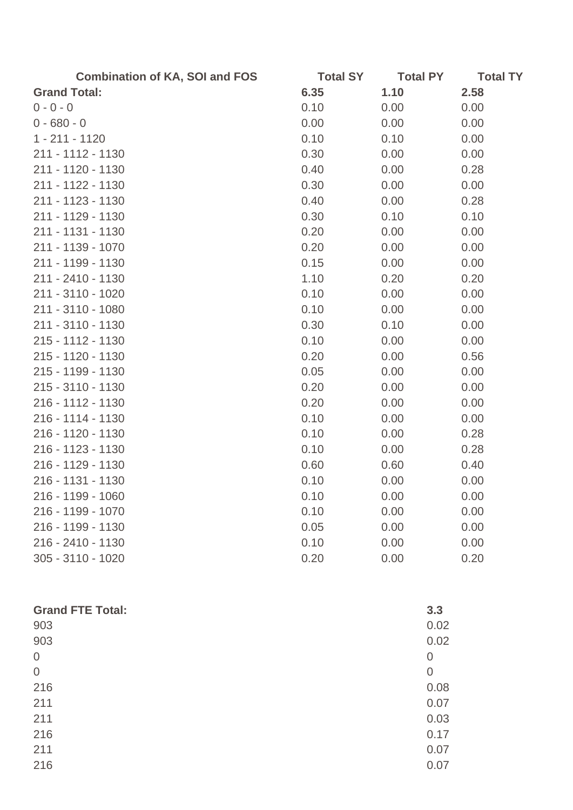| <b>Total SY</b> | <b>Total PY</b>                                                                              | <b>Total TY</b>                      |
|-----------------|----------------------------------------------------------------------------------------------|--------------------------------------|
| 6.35            | 1.10                                                                                         | 2.58                                 |
| 0.10            | 0.00                                                                                         | 0.00                                 |
| 0.00            | 0.00                                                                                         | 0.00                                 |
| 0.10            | 0.10                                                                                         | 0.00                                 |
| 0.30            | 0.00                                                                                         | 0.00                                 |
| 0.40            | 0.00                                                                                         | 0.28                                 |
| 0.30            | 0.00                                                                                         | 0.00                                 |
| 0.40            | 0.00                                                                                         | 0.28                                 |
| 0.30            | 0.10                                                                                         | 0.10                                 |
| 0.20            | 0.00                                                                                         | 0.00                                 |
| 0.20            | 0.00                                                                                         | 0.00                                 |
| 0.15            | 0.00                                                                                         | 0.00                                 |
| 1.10            | 0.20                                                                                         | 0.20                                 |
| 0.10            | 0.00                                                                                         | 0.00                                 |
| 0.10            | 0.00                                                                                         | 0.00                                 |
| 0.30            | 0.10                                                                                         | 0.00                                 |
| 0.10            | 0.00                                                                                         | 0.00                                 |
| 0.20            | 0.00                                                                                         | 0.56                                 |
| 0.05            | 0.00                                                                                         | 0.00                                 |
|                 | 0.00                                                                                         | 0.00                                 |
|                 |                                                                                              | 0.00                                 |
|                 | 0.00                                                                                         | 0.00                                 |
|                 | 0.00                                                                                         | 0.28                                 |
|                 | 0.00                                                                                         | 0.28                                 |
|                 | 0.60                                                                                         | 0.40                                 |
|                 | 0.00                                                                                         | 0.00                                 |
|                 |                                                                                              | 0.00                                 |
|                 | 0.00                                                                                         | 0.00                                 |
|                 |                                                                                              | 0.00                                 |
|                 |                                                                                              | 0.00                                 |
|                 |                                                                                              | 0.20                                 |
|                 | 0.20<br>0.20<br>0.10<br>0.10<br>0.10<br>0.60<br>0.10<br>0.10<br>0.10<br>0.05<br>0.10<br>0.20 | 0.00<br>0.00<br>0.00<br>0.00<br>0.00 |

| <b>Grand FTE Total:</b> | 3.3            |
|-------------------------|----------------|
| 903                     | 0.02           |
| 903                     | 0.02           |
| $\overline{0}$          | $\overline{0}$ |
| $\overline{0}$          | $\overline{0}$ |
| 216                     | 0.08           |
| 211                     | 0.07           |
| 211                     | 0.03           |
| 216                     | 0.17           |
| 211                     | 0.07           |
| 216                     | 0.07           |